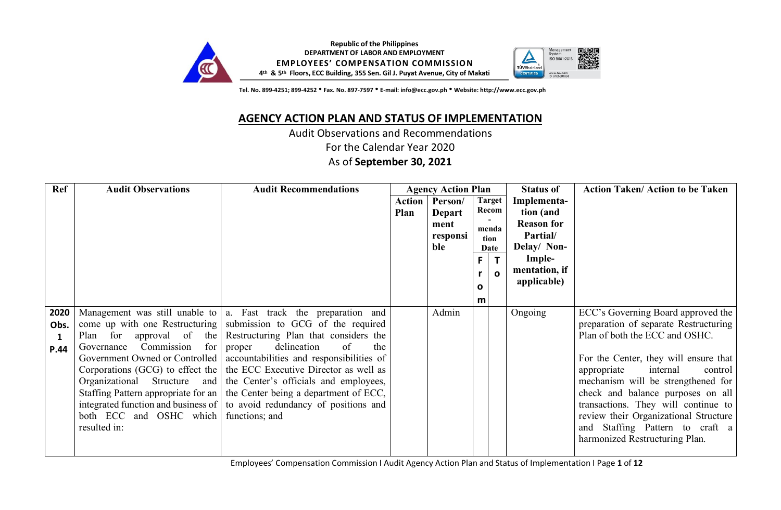



 **Tel. No. 899-4251; 899-4252**h**Fax. No. 897-7597**h**E-mail: info@ecc.gov.ph**h**Website: http://www.ecc.gov.ph**

## **AGENCY ACTION PLAN AND STATUS OF IMPLEMENTATION**

Audit Observations and Recommendations

For the Calendar Year 2020

As of **September 30, 2021**

| Ref  | <b>Audit Observations</b>               | <b>Audit Recommendations</b>                                                |        | <b>Agency Action Plan</b> |              |               | <b>Status of</b>             | <b>Action Taken/Action to be Taken</b>                                   |
|------|-----------------------------------------|-----------------------------------------------------------------------------|--------|---------------------------|--------------|---------------|------------------------------|--------------------------------------------------------------------------|
|      |                                         |                                                                             | Action | Person/                   |              | <b>Target</b> | Implementa-                  |                                                                          |
|      |                                         |                                                                             | Plan   | <b>Depart</b>             |              | Recom         | tion (and                    |                                                                          |
|      |                                         |                                                                             |        | ment                      |              | menda         | <b>Reason for</b>            |                                                                          |
|      |                                         |                                                                             |        | responsi                  |              | tion          | Partial/                     |                                                                          |
|      |                                         |                                                                             |        | ble                       |              | Date          | Delay/ Non-                  |                                                                          |
|      |                                         |                                                                             |        |                           | F            | $\mathsf{T}$  | Imple-                       |                                                                          |
|      |                                         |                                                                             |        |                           |              | $\Omega$      | mentation, if<br>applicable) |                                                                          |
|      |                                         |                                                                             |        |                           | $\mathbf{o}$ |               |                              |                                                                          |
|      |                                         |                                                                             |        |                           | m            |               |                              |                                                                          |
| 2020 |                                         | Management was still unable to $ a $ . Fast track the preparation and       |        | Admin                     |              |               | Ongoing                      | ECC's Governing Board approved the                                       |
| Obs. |                                         | come up with one Restructuring submission to GCG of the required            |        |                           |              |               |                              | preparation of separate Restructuring                                    |
|      | Plan                                    | for approval of the Restructuring Plan that considers the                   |        |                           |              |               |                              | Plan of both the ECC and OSHC.                                           |
| P.44 | Governance Commission for proper        | delineation<br>of<br>the                                                    |        |                           |              |               |                              |                                                                          |
|      |                                         | Government Owned or Controlled   accountabilities and responsibilities of   |        |                           |              |               |                              | For the Center, they will ensure that                                    |
|      |                                         | Corporations (GCG) to effect the   the ECC Executive Director as well as    |        |                           |              |               |                              | appropriate<br>internal<br>control                                       |
|      |                                         | Organizational Structure and the Center's officials and employees,          |        |                           |              |               |                              | mechanism will be strengthened for                                       |
|      |                                         | Staffing Pattern appropriate for an   the Center being a department of ECC, |        |                           |              |               |                              | check and balance purposes on all                                        |
|      |                                         | integrated function and business of to avoid redundancy of positions and    |        |                           |              |               |                              | transactions. They will continue to                                      |
|      | both ECC and OSHC which<br>resulted in: | functions; and                                                              |        |                           |              |               |                              | review their Organizational Structure<br>and Staffing Pattern to craft a |
|      |                                         |                                                                             |        |                           |              |               |                              | harmonized Restructuring Plan.                                           |
|      |                                         |                                                                             |        |                           |              |               |                              |                                                                          |

Employees' Compensation Commission Ι Audit Agency Action Plan and Status of Implementation Ι Page **1** of **12**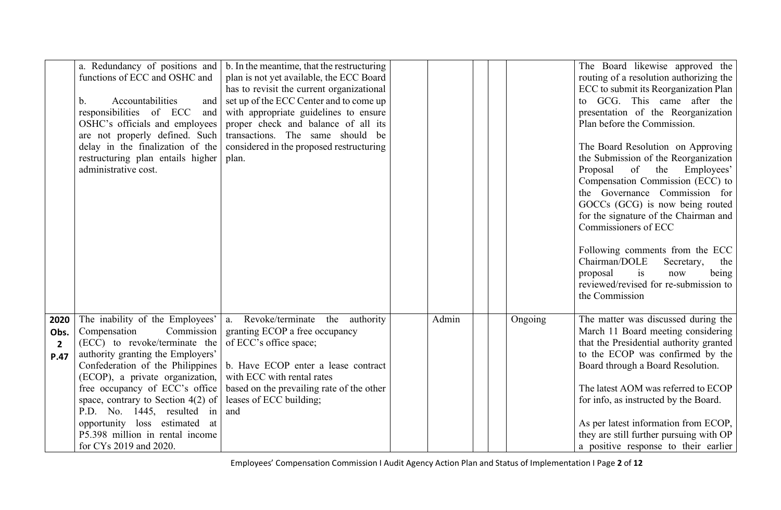|                                        | functions of ECC and OSHC and<br>Accountabilities<br>$b_{-}$<br>and<br>responsibilities of ECC<br>and<br>OSHC's officials and employees<br>are not properly defined. Such<br>delay in the finalization of the<br>restructuring plan entails higher<br>administrative cost.                                                                          | a. Redundancy of positions and $\vert$ b. In the meantime, that the restructuring<br>plan is not yet available, the ECC Board<br>has to revisit the current organizational<br>set up of the ECC Center and to come up<br>with appropriate guidelines to ensure<br>proper check and balance of all its<br>transactions. The same should be<br>considered in the proposed restructuring<br>plan. |       |         | The Board likewise approved the<br>routing of a resolution authorizing the<br>ECC to submit its Reorganization Plan<br>to GCG. This came after the<br>presentation of the Reorganization<br>Plan before the Commission.<br>The Board Resolution on Approving<br>the Submission of the Reorganization<br>of<br>Employees'<br>Proposal<br>the<br>Compensation Commission (ECC) to<br>the Governance Commission for<br>GOCCs (GCG) is now being routed<br>for the signature of the Chairman and<br>Commissioners of ECC<br>Following comments from the ECC<br>Chairman/DOLE<br>Secretary,<br>the<br>is<br>proposal<br>now<br>being<br>reviewed/revised for re-submission to<br>the Commission |
|----------------------------------------|-----------------------------------------------------------------------------------------------------------------------------------------------------------------------------------------------------------------------------------------------------------------------------------------------------------------------------------------------------|------------------------------------------------------------------------------------------------------------------------------------------------------------------------------------------------------------------------------------------------------------------------------------------------------------------------------------------------------------------------------------------------|-------|---------|--------------------------------------------------------------------------------------------------------------------------------------------------------------------------------------------------------------------------------------------------------------------------------------------------------------------------------------------------------------------------------------------------------------------------------------------------------------------------------------------------------------------------------------------------------------------------------------------------------------------------------------------------------------------------------------------|
| 2020<br>Obs.<br>$\overline{2}$<br>P.47 | The inability of the Employees'<br>Commission<br>Compensation<br>(ECC) to revoke/terminate the<br>authority granting the Employers'<br>Confederation of the Philippines<br>(ECOP), a private organization,<br>free occupancy of ECC's office<br>space, contrary to Section $4(2)$ of<br>P.D. No. 1445, resulted in<br>opportunity loss estimated at | a. Revoke/terminate the authority<br>granting ECOP a free occupancy<br>of ECC's office space;<br>b. Have ECOP enter a lease contract<br>with ECC with rental rates<br>based on the prevailing rate of the other<br>leases of ECC building;<br>and                                                                                                                                              | Admin | Ongoing | The matter was discussed during the<br>March 11 Board meeting considering<br>that the Presidential authority granted<br>to the ECOP was confirmed by the<br>Board through a Board Resolution.<br>The latest AOM was referred to ECOP<br>for info, as instructed by the Board.<br>As per latest information from ECOP,                                                                                                                                                                                                                                                                                                                                                                      |
|                                        | P5.398 million in rental income<br>for CY <sub>s</sub> 2019 and 2020.                                                                                                                                                                                                                                                                               |                                                                                                                                                                                                                                                                                                                                                                                                |       |         | they are still further pursuing with OP<br>a positive response to their earlier                                                                                                                                                                                                                                                                                                                                                                                                                                                                                                                                                                                                            |

Employees' Compensation Commission Ι Audit Agency Action Plan and Status of Implementation Ι Page **2** of **12**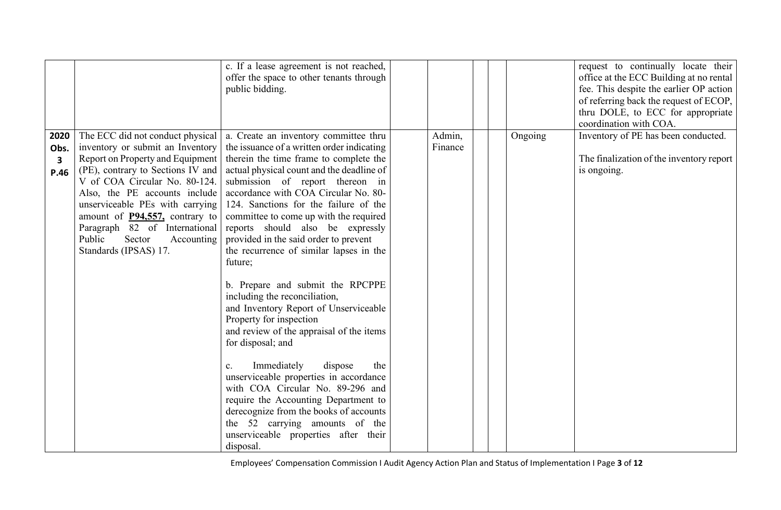|                                                 |                                                                                                                                                                                                                                                                                                                                                                                          | c. If a lease agreement is not reached,<br>offer the space to other tenants through<br>public bidding.                                                                                                                                                                                                                                                                                                                                                                                                                                                                                                                                                                                                                                                                                                                                                                                                                                                                                       |                   |         | request to continually locate their<br>office at the ECC Building at no rental<br>fee. This despite the earlier OP action<br>of referring back the request of ECOP,<br>thru DOLE, to ECC for appropriate<br>coordination with COA. |
|-------------------------------------------------|------------------------------------------------------------------------------------------------------------------------------------------------------------------------------------------------------------------------------------------------------------------------------------------------------------------------------------------------------------------------------------------|----------------------------------------------------------------------------------------------------------------------------------------------------------------------------------------------------------------------------------------------------------------------------------------------------------------------------------------------------------------------------------------------------------------------------------------------------------------------------------------------------------------------------------------------------------------------------------------------------------------------------------------------------------------------------------------------------------------------------------------------------------------------------------------------------------------------------------------------------------------------------------------------------------------------------------------------------------------------------------------------|-------------------|---------|------------------------------------------------------------------------------------------------------------------------------------------------------------------------------------------------------------------------------------|
| 2020<br>Obs.<br>$\overline{\mathbf{3}}$<br>P.46 | The ECC did not conduct physical<br>inventory or submit an Inventory<br>Report on Property and Equipment<br>(PE), contrary to Sections IV and<br>V of COA Circular No. 80-124.<br>Also, the PE accounts include<br>unserviceable PEs with carrying<br>amount of <b>P94,557</b> , contrary to<br>Paragraph 82 of International<br>Public<br>Sector<br>Accounting<br>Standards (IPSAS) 17. | a. Create an inventory committee thru<br>the issuance of a written order indicating<br>therein the time frame to complete the<br>actual physical count and the deadline of<br>submission of report thereon in<br>accordance with COA Circular No. 80-<br>124. Sanctions for the failure of the<br>committee to come up with the required<br>reports should also be expressly<br>provided in the said order to prevent<br>the recurrence of similar lapses in the<br>future;<br>b. Prepare and submit the RPCPPE<br>including the reconciliation,<br>and Inventory Report of Unserviceable<br>Property for inspection<br>and review of the appraisal of the items<br>for disposal; and<br>Immediately<br>dispose<br>the<br>$c_{\cdot}$<br>unserviceable properties in accordance<br>with COA Circular No. 89-296 and<br>require the Accounting Department to<br>derecognize from the books of accounts<br>the 52 carrying amounts of the<br>unserviceable properties after their<br>disposal. | Admin,<br>Finance | Ongoing | Inventory of PE has been conducted.<br>The finalization of the inventory report<br>is ongoing.                                                                                                                                     |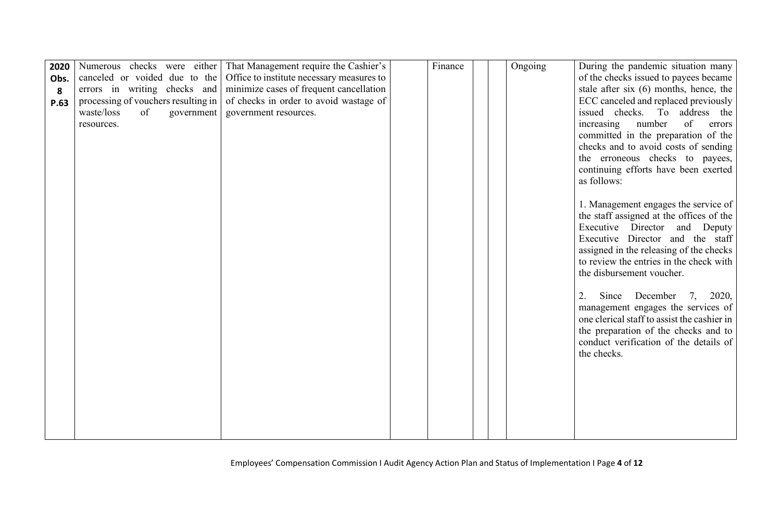| 2020 |                                     | Numerous checks were either That Management require the Cashier's | Finance | Ongoing | During the pandemic situation many                                                 |
|------|-------------------------------------|-------------------------------------------------------------------|---------|---------|------------------------------------------------------------------------------------|
| Obs. | canceled or voided due to the       | Office to institute necessary measures to                         |         |         | of the checks issued to payees became                                              |
| 8    | errors in writing checks and        | minimize cases of frequent cancellation                           |         |         | stale after six $(6)$ months, hence, the                                           |
| P.63 | processing of vouchers resulting in | of checks in order to avoid wastage of                            |         |         | ECC canceled and replaced previously                                               |
|      | waste/loss<br>of<br>government      | government resources.                                             |         |         | issued checks. To address the                                                      |
|      | resources.                          |                                                                   |         |         | of<br>number<br>increasing<br>errors                                               |
|      |                                     |                                                                   |         |         | committed in the preparation of the                                                |
|      |                                     |                                                                   |         |         | checks and to avoid costs of sending                                               |
|      |                                     |                                                                   |         |         | the erroneous checks to payees,                                                    |
|      |                                     |                                                                   |         |         | continuing efforts have been exerted                                               |
|      |                                     |                                                                   |         |         | as follows:                                                                        |
|      |                                     |                                                                   |         |         |                                                                                    |
|      |                                     |                                                                   |         |         | 1. Management engages the service of                                               |
|      |                                     |                                                                   |         |         | the staff assigned at the offices of the                                           |
|      |                                     |                                                                   |         |         | Executive Director and Deputy                                                      |
|      |                                     |                                                                   |         |         | Executive Director and the staff                                                   |
|      |                                     |                                                                   |         |         | assigned in the releasing of the checks<br>to review the entries in the check with |
|      |                                     |                                                                   |         |         | the disbursement voucher.                                                          |
|      |                                     |                                                                   |         |         |                                                                                    |
|      |                                     |                                                                   |         |         | 2.<br>Since December<br>2020,<br>7,                                                |
|      |                                     |                                                                   |         |         | management engages the services of                                                 |
|      |                                     |                                                                   |         |         | one clerical staff to assist the cashier in                                        |
|      |                                     |                                                                   |         |         | the preparation of the checks and to                                               |
|      |                                     |                                                                   |         |         | conduct verification of the details of                                             |
|      |                                     |                                                                   |         |         | the checks.                                                                        |
|      |                                     |                                                                   |         |         |                                                                                    |
|      |                                     |                                                                   |         |         |                                                                                    |
|      |                                     |                                                                   |         |         |                                                                                    |
|      |                                     |                                                                   |         |         |                                                                                    |
|      |                                     |                                                                   |         |         |                                                                                    |
|      |                                     |                                                                   |         |         |                                                                                    |
|      |                                     |                                                                   |         |         |                                                                                    |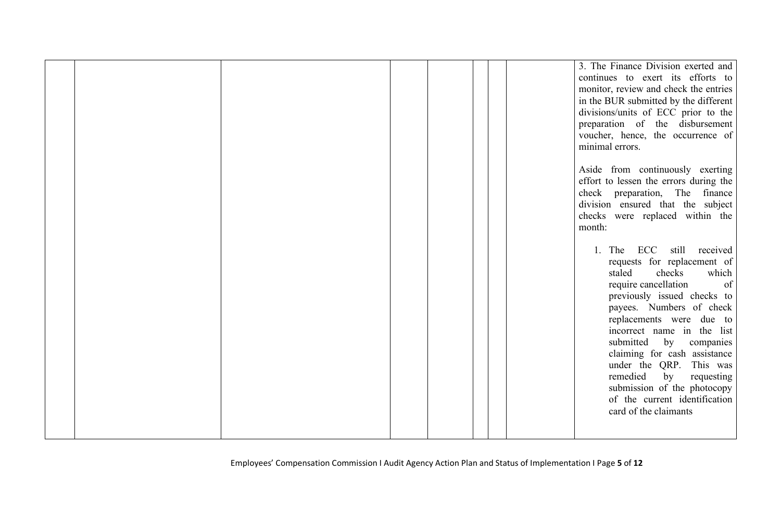|  |  |  | 3. The Finance Division exerted and<br>continues to exert its efforts to<br>monitor, review and check the entries<br>in the BUR submitted by the different<br>divisions/units of ECC prior to the<br>preparation of the disbursement<br>voucher, hence, the occurrence of<br>minimal errors.<br>Aside from continuously exerting<br>effort to lessen the errors during the<br>check preparation, The finance<br>division ensured that the subject<br>checks were replaced within the<br>month:<br>1. The ECC still<br>received<br>requests for replacement of<br>checks<br>which<br>staled<br>require cancellation<br>of<br>previously issued checks to<br>payees. Numbers of check |
|--|--|--|-------------------------------------------------------------------------------------------------------------------------------------------------------------------------------------------------------------------------------------------------------------------------------------------------------------------------------------------------------------------------------------------------------------------------------------------------------------------------------------------------------------------------------------------------------------------------------------------------------------------------------------------------------------------------------------|
|  |  |  | replacements were due to<br>incorrect name in the list<br>submitted<br>by<br>companies<br>claiming for cash assistance<br>under the QRP. This was<br>remedied<br>by<br>requesting<br>submission of the photocopy<br>of the current identification<br>card of the claimants                                                                                                                                                                                                                                                                                                                                                                                                          |
|  |  |  |                                                                                                                                                                                                                                                                                                                                                                                                                                                                                                                                                                                                                                                                                     |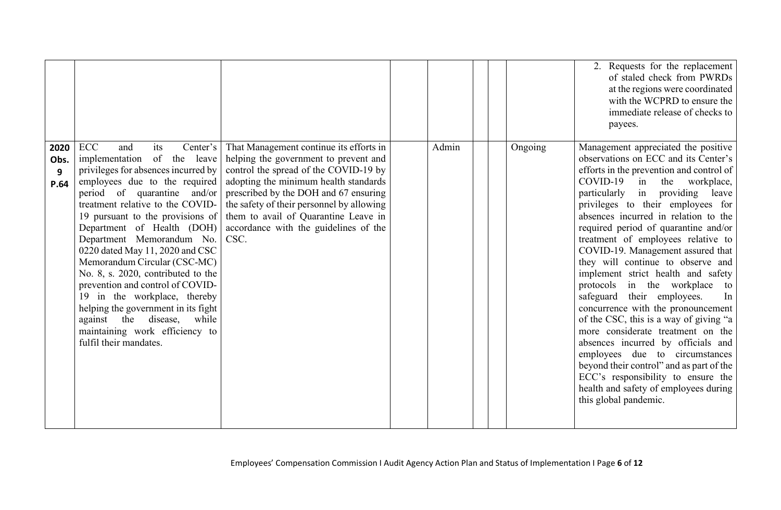|                           |                                                                                                                                                                                                                                                                                                                                                                                                                                                                                                                                                                                                                                   |                                                                                                                                                                                                                                                                                                                                                   |       |         | 2. Requests for the replacement<br>of staled check from PWRDs<br>at the regions were coordinated<br>with the WCPRD to ensure the<br>immediate release of checks to<br>payees.                                                                                                                                                                                                                                                                                                                                                                                                                                                                                                                                                                                                                                                                                                                  |
|---------------------------|-----------------------------------------------------------------------------------------------------------------------------------------------------------------------------------------------------------------------------------------------------------------------------------------------------------------------------------------------------------------------------------------------------------------------------------------------------------------------------------------------------------------------------------------------------------------------------------------------------------------------------------|---------------------------------------------------------------------------------------------------------------------------------------------------------------------------------------------------------------------------------------------------------------------------------------------------------------------------------------------------|-------|---------|------------------------------------------------------------------------------------------------------------------------------------------------------------------------------------------------------------------------------------------------------------------------------------------------------------------------------------------------------------------------------------------------------------------------------------------------------------------------------------------------------------------------------------------------------------------------------------------------------------------------------------------------------------------------------------------------------------------------------------------------------------------------------------------------------------------------------------------------------------------------------------------------|
| 2020<br>Obs.<br>9<br>P.64 | <b>ECC</b><br>Center's<br>and<br>its<br>of the<br>leave<br>implementation<br>privileges for absences incurred by<br>employees due to the required<br>period of quarantine and/or<br>treatment relative to the COVID-<br>19 pursuant to the provisions of<br>Department of Health (DOH)<br>Department Memorandum No.<br>0220 dated May 11, 2020 and CSC<br>Memorandum Circular (CSC-MC)<br>No. 8, s. 2020, contributed to the<br>prevention and control of COVID-<br>19 in the workplace, thereby<br>helping the government in its fight<br>against the disease, while<br>maintaining work efficiency to<br>fulfil their mandates. | That Management continue its efforts in<br>helping the government to prevent and<br>control the spread of the COVID-19 by<br>adopting the minimum health standards<br>prescribed by the DOH and 67 ensuring<br>the safety of their personnel by allowing<br>them to avail of Quarantine Leave in<br>accordance with the guidelines of the<br>CSC. | Admin | Ongoing | Management appreciated the positive<br>observations on ECC and its Center's<br>efforts in the prevention and control of<br>$COVID-19$ in<br>the workplace,<br>particularly in providing leave<br>privileges to their employees for<br>absences incurred in relation to the<br>required period of quarantine and/or<br>treatment of employees relative to<br>COVID-19. Management assured that<br>they will continue to observe and<br>implement strict health and safety<br>protocols in the workplace to<br>safeguard their employees.<br>In<br>concurrence with the pronouncement<br>of the CSC, this is a way of giving "a<br>more considerate treatment on the<br>absences incurred by officials and<br>employees due to circumstances<br>beyond their control" and as part of the<br>ECC's responsibility to ensure the<br>health and safety of employees during<br>this global pandemic. |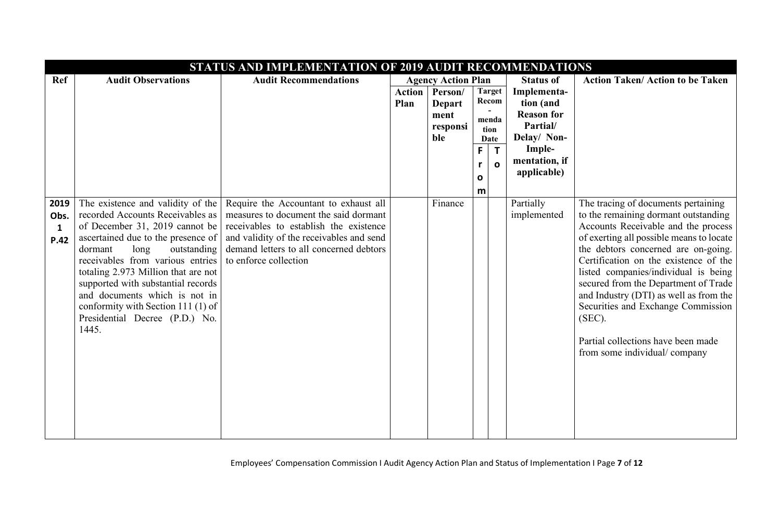|      | STATUS AND IMPLEMENTATION OF 2019 AUDIT RECOMMENDATIONS              |                                                                                     |               |                           |    |                        |                                |                                                                                 |
|------|----------------------------------------------------------------------|-------------------------------------------------------------------------------------|---------------|---------------------------|----|------------------------|--------------------------------|---------------------------------------------------------------------------------|
| Ref  | <b>Audit Observations</b>                                            | <b>Audit Recommendations</b>                                                        |               | <b>Agency Action Plan</b> |    |                        | <b>Status of</b>               | <b>Action Taken/ Action to be Taken</b>                                         |
|      |                                                                      |                                                                                     | <b>Action</b> | Person/                   |    | <b>Target</b><br>Recom | Implementa-                    |                                                                                 |
|      |                                                                      |                                                                                     | Plan          | <b>Depart</b><br>ment     |    |                        | tion (and<br><b>Reason for</b> |                                                                                 |
|      |                                                                      |                                                                                     |               | responsi                  |    | menda<br>tion          | Partial/                       |                                                                                 |
|      |                                                                      |                                                                                     |               | ble                       |    | Date                   | Delay/ Non-                    |                                                                                 |
|      |                                                                      |                                                                                     |               |                           | F. | $\mathsf{T}$           | Imple-                         |                                                                                 |
|      |                                                                      |                                                                                     |               |                           | r  | $\mathbf{o}$           | mentation, if<br>applicable)   |                                                                                 |
|      |                                                                      |                                                                                     |               |                           | 0  |                        |                                |                                                                                 |
| 2019 | The existence and validity of the                                    | Require the Accountant to exhaust all                                               |               | Finance                   | m  |                        | Partially                      | The tracing of documents pertaining                                             |
| Obs. | recorded Accounts Receivables as                                     | measures to document the said dormant                                               |               |                           |    |                        | implemented                    | to the remaining dormant outstanding                                            |
| 1    | of December 31, 2019 cannot be                                       | receivables to establish the existence                                              |               |                           |    |                        |                                | Accounts Receivable and the process                                             |
| P.42 | ascertained due to the presence of<br>long<br>outstanding<br>dormant | and validity of the receivables and send<br>demand letters to all concerned debtors |               |                           |    |                        |                                | of exerting all possible means to locate<br>the debtors concerned are on-going. |
|      | receivables from various entries                                     | to enforce collection                                                               |               |                           |    |                        |                                | Certification on the existence of the                                           |
|      | totaling 2.973 Million that are not                                  |                                                                                     |               |                           |    |                        |                                | listed companies/individual is being                                            |
|      | supported with substantial records<br>and documents which is not in  |                                                                                     |               |                           |    |                        |                                | secured from the Department of Trade<br>and Industry (DTI) as well as from the  |
|      | conformity with Section 111 (1) of                                   |                                                                                     |               |                           |    |                        |                                | Securities and Exchange Commission                                              |
|      | Presidential Decree (P.D.) No.                                       |                                                                                     |               |                           |    |                        |                                | (SEC).                                                                          |
|      | 1445.                                                                |                                                                                     |               |                           |    |                        |                                | Partial collections have been made                                              |
|      |                                                                      |                                                                                     |               |                           |    |                        |                                | from some individual/company                                                    |
|      |                                                                      |                                                                                     |               |                           |    |                        |                                |                                                                                 |
|      |                                                                      |                                                                                     |               |                           |    |                        |                                |                                                                                 |
|      |                                                                      |                                                                                     |               |                           |    |                        |                                |                                                                                 |
|      |                                                                      |                                                                                     |               |                           |    |                        |                                |                                                                                 |
|      |                                                                      |                                                                                     |               |                           |    |                        |                                |                                                                                 |
|      |                                                                      |                                                                                     |               |                           |    |                        |                                |                                                                                 |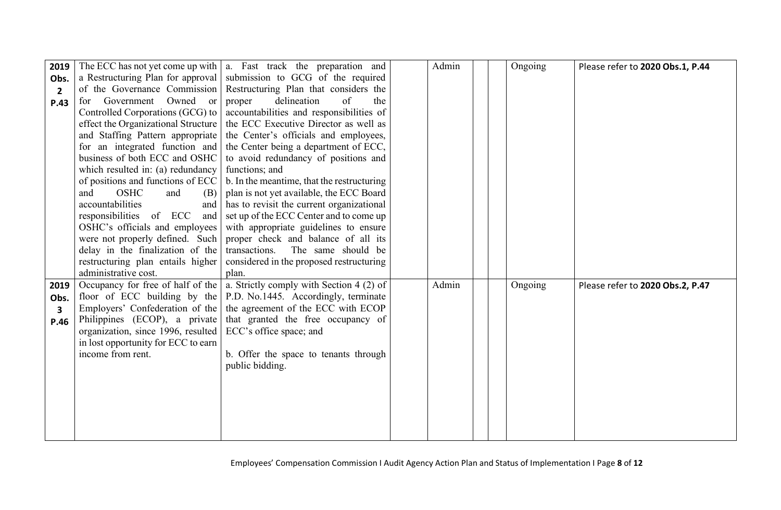| 2019           |                                     | The ECC has not yet come up with $ a $ . Fast track the preparation and         | Admin |  | Ongoing | Please refer to 2020 Obs.1, P.44 |
|----------------|-------------------------------------|---------------------------------------------------------------------------------|-------|--|---------|----------------------------------|
| Obs.           | a Restructuring Plan for approval   | submission to GCG of the required                                               |       |  |         |                                  |
| $\overline{2}$ | of the Governance Commission        | Restructuring Plan that considers the                                           |       |  |         |                                  |
| P.43           | Government Owned or<br>for          | delineation<br>of<br>the<br>proper                                              |       |  |         |                                  |
|                | Controlled Corporations (GCG) to    | accountabilities and responsibilities of                                        |       |  |         |                                  |
|                | effect the Organizational Structure | the ECC Executive Director as well as                                           |       |  |         |                                  |
|                | and Staffing Pattern appropriate    | the Center's officials and employees,                                           |       |  |         |                                  |
|                | for an integrated function and      | the Center being a department of ECC,                                           |       |  |         |                                  |
|                | business of both ECC and OSHC       | to avoid redundancy of positions and                                            |       |  |         |                                  |
|                | which resulted in: (a) redundancy   | functions; and                                                                  |       |  |         |                                  |
|                | of positions and functions of ECC   | b. In the meantime, that the restructuring                                      |       |  |         |                                  |
|                | <b>OSHC</b><br>and<br>and<br>(B)    | plan is not yet available, the ECC Board                                        |       |  |         |                                  |
|                | accountabilities<br>and             | has to revisit the current organizational                                       |       |  |         |                                  |
|                | responsibilities of ECC<br>and      | set up of the ECC Center and to come up                                         |       |  |         |                                  |
|                | OSHC's officials and employees      | with appropriate guidelines to ensure                                           |       |  |         |                                  |
|                | were not properly defined. Such     | proper check and balance of all its                                             |       |  |         |                                  |
|                | delay in the finalization of the    | transactions.<br>The same should be                                             |       |  |         |                                  |
|                | restructuring plan entails higher   | considered in the proposed restructuring                                        |       |  |         |                                  |
|                | administrative cost.                | plan.                                                                           |       |  |         |                                  |
| 2019           |                                     | Occupancy for free of half of the $ a $ . Strictly comply with Section 4 (2) of | Admin |  | Ongoing | Please refer to 2020 Obs.2, P.47 |
| Obs.           |                                     | floor of ECC building by the $\vert$ P.D. No.1445. Accordingly, terminate       |       |  |         |                                  |
| 3              | Employers' Confederation of the     | the agreement of the ECC with ECOP                                              |       |  |         |                                  |
| P.46           | Philippines (ECOP), a private       | that granted the free occupancy of                                              |       |  |         |                                  |
|                | organization, since 1996, resulted  | ECC's office space; and                                                         |       |  |         |                                  |
|                | in lost opportunity for ECC to earn |                                                                                 |       |  |         |                                  |
|                | income from rent.                   | b. Offer the space to tenants through<br>public bidding.                        |       |  |         |                                  |
|                |                                     |                                                                                 |       |  |         |                                  |
|                |                                     |                                                                                 |       |  |         |                                  |
|                |                                     |                                                                                 |       |  |         |                                  |
|                |                                     |                                                                                 |       |  |         |                                  |
|                |                                     |                                                                                 |       |  |         |                                  |
|                |                                     |                                                                                 |       |  |         |                                  |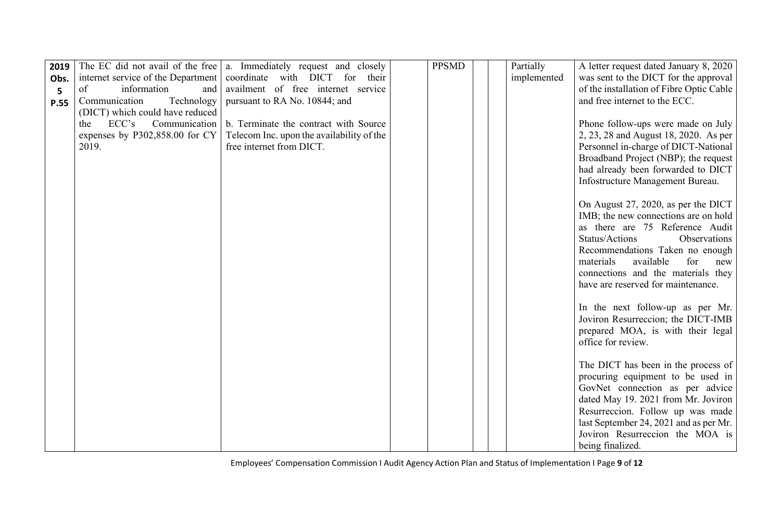| 2019 |                                    | The EC did not avail of the free   a. Immediately request and closely | <b>PPSMD</b> | Partially   | A letter request dated January 8, 2020                                 |
|------|------------------------------------|-----------------------------------------------------------------------|--------------|-------------|------------------------------------------------------------------------|
| Obs. | internet service of the Department | coordinate with DICT for<br>their                                     |              | implemented | was sent to the DICT for the approval                                  |
| 5    | of<br>information<br>and           | availment of free internet service                                    |              |             | of the installation of Fibre Optic Cable                               |
| P.55 | Communication<br>Technology        | pursuant to RA No. 10844; and                                         |              |             | and free internet to the ECC.                                          |
|      | (DICT) which could have reduced    |                                                                       |              |             |                                                                        |
|      | ECC's<br>Communication<br>the      | b. Terminate the contract with Source                                 |              |             | Phone follow-ups were made on July                                     |
|      | expenses by P302,858.00 for CY     | Telecom Inc. upon the availability of the                             |              |             | 2, 23, 28 and August 18, 2020. As per                                  |
|      | 2019.                              | free internet from DICT.                                              |              |             | Personnel in-charge of DICT-National                                   |
|      |                                    |                                                                       |              |             | Broadband Project (NBP); the request                                   |
|      |                                    |                                                                       |              |             | had already been forwarded to DICT                                     |
|      |                                    |                                                                       |              |             | Infostructure Management Bureau.                                       |
|      |                                    |                                                                       |              |             | On August 27, 2020, as per the DICT                                    |
|      |                                    |                                                                       |              |             | IMB; the new connections are on hold                                   |
|      |                                    |                                                                       |              |             | as there are 75 Reference Audit                                        |
|      |                                    |                                                                       |              |             | Status/Actions<br>Observations                                         |
|      |                                    |                                                                       |              |             | Recommendations Taken no enough                                        |
|      |                                    |                                                                       |              |             | materials<br>available<br>for<br>new                                   |
|      |                                    |                                                                       |              |             | connections and the materials they                                     |
|      |                                    |                                                                       |              |             | have are reserved for maintenance.                                     |
|      |                                    |                                                                       |              |             |                                                                        |
|      |                                    |                                                                       |              |             | In the next follow-up as per Mr.<br>Joviron Resurreccion; the DICT-IMB |
|      |                                    |                                                                       |              |             | prepared MOA, is with their legal                                      |
|      |                                    |                                                                       |              |             | office for review.                                                     |
|      |                                    |                                                                       |              |             |                                                                        |
|      |                                    |                                                                       |              |             | The DICT has been in the process of                                    |
|      |                                    |                                                                       |              |             | procuring equipment to be used in                                      |
|      |                                    |                                                                       |              |             | GovNet connection as per advice                                        |
|      |                                    |                                                                       |              |             | dated May 19. 2021 from Mr. Joviron                                    |
|      |                                    |                                                                       |              |             | Resurreccion. Follow up was made                                       |
|      |                                    |                                                                       |              |             | last September 24, 2021 and as per Mr.                                 |
|      |                                    |                                                                       |              |             | Joviron Resurreccion the MOA is                                        |
|      |                                    |                                                                       |              |             | being finalized.                                                       |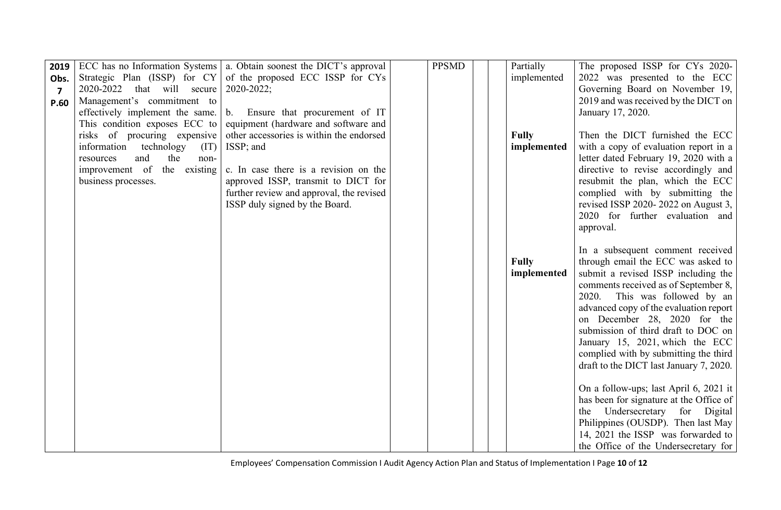| 2019           |                                 | ECC has no Information Systems   a. Obtain soonest the DICT's approval | <b>PPSMD</b> | Partially    | The proposed ISSP for CYs 2020-         |
|----------------|---------------------------------|------------------------------------------------------------------------|--------------|--------------|-----------------------------------------|
| Obs.           |                                 | Strategic Plan (ISSP) for CY of the proposed ECC ISSP for CYs          |              | implemented  | 2022 was presented to the ECC           |
| $\overline{7}$ | 2020-2022 that will secure      | 2020-2022;                                                             |              |              | Governing Board on November 19,         |
| P.60           | Management's commitment to      |                                                                        |              |              | 2019 and was received by the DICT on    |
|                | effectively implement the same. | b. Ensure that procurement of IT                                       |              |              | January 17, 2020.                       |
|                | This condition exposes ECC to   | equipment (hardware and software and                                   |              |              |                                         |
|                | risks of procuring expensive    | other accessories is within the endorsed                               |              | <b>Fully</b> | Then the DICT furnished the ECC         |
|                | information technology          | $(IT)$ ISSP; and                                                       |              | implemented  | with a copy of evaluation report in a   |
|                | and<br>the<br>resources<br>non- |                                                                        |              |              | letter dated February 19, 2020 with a   |
|                | improvement of the existing     | c. In case there is a revision on the                                  |              |              | directive to revise accordingly and     |
|                | business processes.             | approved ISSP, transmit to DICT for                                    |              |              | resubmit the plan, which the ECC        |
|                |                                 | further review and approval, the revised                               |              |              | complied with by submitting the         |
|                |                                 | ISSP duly signed by the Board.                                         |              |              | revised ISSP 2020-2022 on August 3,     |
|                |                                 |                                                                        |              |              | 2020 for further evaluation and         |
|                |                                 |                                                                        |              |              | approval.                               |
|                |                                 |                                                                        |              |              | In a subsequent comment received        |
|                |                                 |                                                                        |              | <b>Fully</b> | through email the ECC was asked to      |
|                |                                 |                                                                        |              | implemented  | submit a revised ISSP including the     |
|                |                                 |                                                                        |              |              | comments received as of September 8,    |
|                |                                 |                                                                        |              |              | 2020. This was followed by an           |
|                |                                 |                                                                        |              |              | advanced copy of the evaluation report  |
|                |                                 |                                                                        |              |              | on December 28, 2020 for the            |
|                |                                 |                                                                        |              |              | submission of third draft to DOC on     |
|                |                                 |                                                                        |              |              | January 15, 2021, which the ECC         |
|                |                                 |                                                                        |              |              | complied with by submitting the third   |
|                |                                 |                                                                        |              |              | draft to the DICT last January 7, 2020. |
|                |                                 |                                                                        |              |              |                                         |
|                |                                 |                                                                        |              |              | On a follow-ups; last April 6, 2021 it  |
|                |                                 |                                                                        |              |              | has been for signature at the Office of |
|                |                                 |                                                                        |              |              | Undersecretary for Digital<br>the       |
|                |                                 |                                                                        |              |              | Philippines (OUSDP). Then last May      |
|                |                                 |                                                                        |              |              | 14, 2021 the ISSP was forwarded to      |
|                |                                 |                                                                        |              |              | the Office of the Undersecretary for    |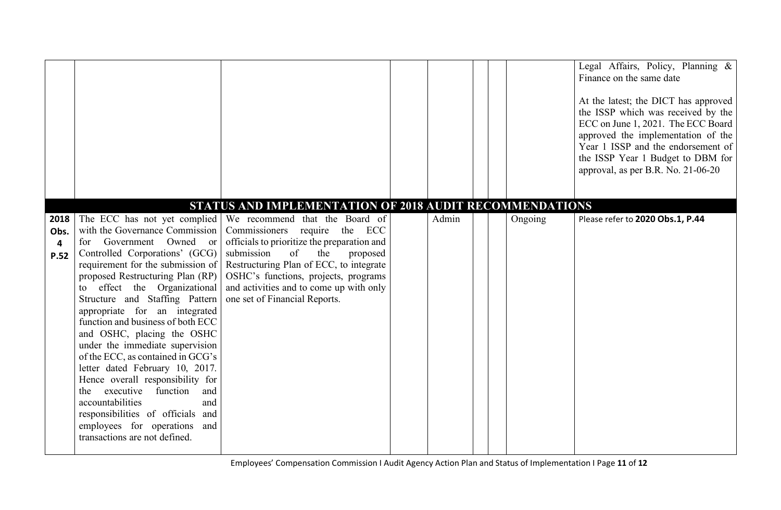|      |                                                                      |                                                                                              |       |         | Legal Affairs, Policy, Planning &<br>Finance on the same date<br>At the latest; the DICT has approved<br>the ISSP which was received by the<br>ECC on June 1, 2021. The ECC Board<br>approved the implementation of the<br>Year 1 ISSP and the endorsement of<br>the ISSP Year 1 Budget to DBM for<br>approval, as per B.R. No. 21-06-20 |
|------|----------------------------------------------------------------------|----------------------------------------------------------------------------------------------|-------|---------|------------------------------------------------------------------------------------------------------------------------------------------------------------------------------------------------------------------------------------------------------------------------------------------------------------------------------------------|
|      |                                                                      | STATUS AND IMPLEMENTATION OF 2018 AUDIT RECOMMENDATIONS                                      |       |         |                                                                                                                                                                                                                                                                                                                                          |
| 2018 | with the Governance Commission                                       | The ECC has not yet complied We recommend that the Board of<br>Commissioners require the ECC | Admin | Ongoing | Please refer to 2020 Obs.1, P.44                                                                                                                                                                                                                                                                                                         |
| Obs. | for Government Owned or                                              | officials to prioritize the preparation and                                                  |       |         |                                                                                                                                                                                                                                                                                                                                          |
| 4    | Controlled Corporations' (GCG)                                       | submission<br>of<br>the<br>proposed                                                          |       |         |                                                                                                                                                                                                                                                                                                                                          |
| P.52 | requirement for the submission of                                    | Restructuring Plan of ECC, to integrate                                                      |       |         |                                                                                                                                                                                                                                                                                                                                          |
|      | proposed Restructuring Plan (RP)                                     | OSHC's functions, projects, programs                                                         |       |         |                                                                                                                                                                                                                                                                                                                                          |
|      | effect the Organizational<br>to                                      | and activities and to come up with only                                                      |       |         |                                                                                                                                                                                                                                                                                                                                          |
|      | Structure and Staffing Pattern                                       | one set of Financial Reports.                                                                |       |         |                                                                                                                                                                                                                                                                                                                                          |
|      | appropriate for an integrated                                        |                                                                                              |       |         |                                                                                                                                                                                                                                                                                                                                          |
|      | function and business of both ECC                                    |                                                                                              |       |         |                                                                                                                                                                                                                                                                                                                                          |
|      | and OSHC, placing the OSHC                                           |                                                                                              |       |         |                                                                                                                                                                                                                                                                                                                                          |
|      | under the immediate supervision<br>of the ECC, as contained in GCG's |                                                                                              |       |         |                                                                                                                                                                                                                                                                                                                                          |
|      | letter dated February 10, 2017.                                      |                                                                                              |       |         |                                                                                                                                                                                                                                                                                                                                          |
|      | Hence overall responsibility for                                     |                                                                                              |       |         |                                                                                                                                                                                                                                                                                                                                          |
|      | executive<br>function<br>the<br>and                                  |                                                                                              |       |         |                                                                                                                                                                                                                                                                                                                                          |
|      | accountabilities<br>and                                              |                                                                                              |       |         |                                                                                                                                                                                                                                                                                                                                          |
|      | responsibilities of officials and                                    |                                                                                              |       |         |                                                                                                                                                                                                                                                                                                                                          |
|      | employees for operations<br>and                                      |                                                                                              |       |         |                                                                                                                                                                                                                                                                                                                                          |
|      | transactions are not defined.                                        |                                                                                              |       |         |                                                                                                                                                                                                                                                                                                                                          |
|      |                                                                      |                                                                                              |       |         |                                                                                                                                                                                                                                                                                                                                          |